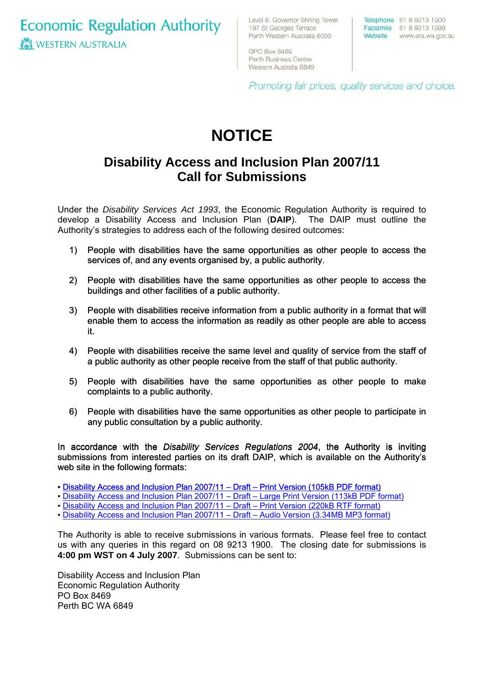**Economic Regulation Authority ICI WESTERN AUSTRALIA** 

Level 6, Governor Stirling Tower 197 St Georges Terrace Perth Western Australia 6000

Telephone 61 8 9213 1900 Facsimile 61 8 9213 1999 Website www.era.wa.gov.au

GPO Box 8469 Perth Business Centre Western Australia 6849

Promoting fair prices, quality services and choice.

# **NOTICE**

## **Disability Access and Inclusion Plan 2007/11 Call for Submissions**

Under the *Disability Services Act 1993*, the Economic Regulation Authority is required to develop a Disability Access and Inclusion Plan (**DAIP**). The DAIP must outline the Authority's strategies to address each of the following desired outcomes:

- 1) People with disabilities have the same opportunities as other people to access the services of, and any events organised by, a public authority.
- 2) People with disabilities have the same opportunities as other people to access the buildings and other facilities of a public authority.
- 3) People with disabilities receive information from a public authority in a format that will enable them to access the information as readily as other people are able to access it.
- 4) People with disabilities receive the same level and quality of service from the staff of a public authority as other people receive from the staff of that public authority.
- 5) People with disabilities have the same opportunities as other people to make complaints to a public authority.
- 6) People with disabilities have the same opportunities as other people to participate in any public consultation by a public authority.

In accordance with the *Disability Services Regulations 2004*, the Authority is inviting submissions from interested parties on its draft DAIP, which is available on the Authority's web site in the following formats:

- [Disability Access and Inclusion Plan 2007/11 Draft Print Version \(105kB PDF format\)](http://www.era.wa.gov.au/cproot/5650/25497/daipdraft.pdf)
- **[Disability Access and Inclusion Plan 2007/11 Draft Large Print Version \(113kB PDF format\)](http://www.era.wa.gov.au/cproot/5651/25500/daipdraftlp.pdf)**
- [Disability Access and Inclusion Plan 2007/11 Draft Print Version \(220kB RTF format\)](http://www.era.wa.gov.au/cproot/5662/25586/daipdraft.rtf)
- [Disability Access and Inclusion Plan 2007/11 Draft Audio Version \(3.34MB MP3 format\)](http://www.era.wa.gov.au/cproot/5671/25671/daipdraft.mp3)

The Authority is able to receive submissions in various formats. Please feel free to contact us with any queries in this regard on 08 9213 1900. The closing date for submissions is **4:00 pm WST on 4 July 2007**. Submissions can be sent to:

Disability Access and Inclusion Plan Economic Regulation Authority PO Box 8469 Perth BC WA 6849